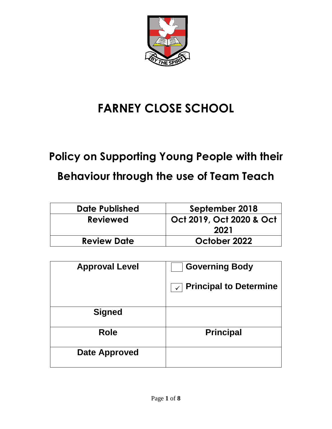

# **FARNEY CLOSE SCHOOL**

# **Policy on Supporting Young People with their Behaviour through the use of Team Teach**

| Date Published     | September 2018           |
|--------------------|--------------------------|
| <b>Reviewed</b>    | Oct 2019, Oct 2020 & Oct |
|                    | 2021                     |
| <b>Review Date</b> | October 2022             |

| <b>Approval Level</b> | <b>Governing Body</b>             |
|-----------------------|-----------------------------------|
|                       | $\sqrt{ }$ Principal to Determine |
| <b>Signed</b>         |                                   |
| <b>Role</b>           | <b>Principal</b>                  |
| <b>Date Approved</b>  |                                   |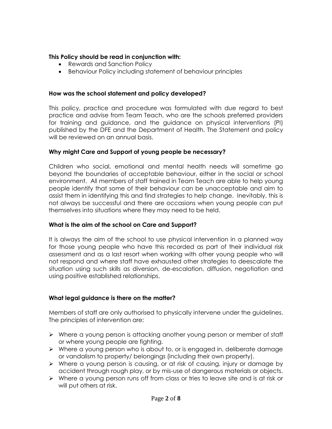# **This Policy should be read in conjunction with:**

- Rewards and Sanction Policy
- Behaviour Policy including statement of behaviour principles

#### **How was the school statement and policy developed?**

This policy, practice and procedure was formulated with due regard to best practice and advise from Team Teach, who are the schools preferred providers for training and guidance, and the guidance on physical interventions (PI) published by the DFE and the Department of Health. The Statement and policy will be reviewed on an annual basis.

# **Why might Care and Support of young people be necessary?**

Children who social, emotional and mental health needs will sometime go beyond the boundaries of acceptable behaviour, either in the social or school environment. All members of staff trained in Team Teach are able to help young people identify that some of their behaviour can be unacceptable and aim to assist them in identifying this and find strategies to help change. Inevitably, this is not always be successful and there are occasions when young people can put themselves into situations where they may need to be held.

# **What is the aim of the school on Care and Support?**

It is always the aim of the school to use physical intervention in a planned way for those young people who have this recorded as part of their individual risk assessment and as a last resort when working with other young people who will not respond and where staff have exhausted other strategies to deescalate the situation using such skills as diversion, de-escalation, diffusion, negotiation and using positive established relationships.

# **What legal guidance is there on the matter?**

Members of staff are only authorised to physically intervene under the guidelines. The principles of intervention are:

- ➢ Where a young person is attacking another young person or member of staff or where young people are fighting.
- ➢ Where a young person who is about to, or is engaged in, deliberate damage or vandalism to property/ belongings (including their own property).
- ➢ Where a young person is causing, or at risk of causing, injury or damage by accident through rough play, or by mis-use of dangerous materials or objects.
- ➢ Where a young person runs off from class or tries to leave site and is at risk or will put others at risk.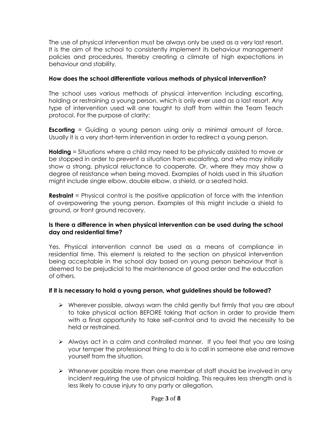The use of physical intervention must be always only be used as a very last resort. It is the aim of the school to consistently implement its behaviour management policies and procedures, thereby creating a climate of high expectations in behaviour and stability.

# **How does the school differentiate various methods of physical intervention?**

The school uses various methods of physical intervention including escorting, holding or restraining a young person, which is only ever used as a last resort. Any type of intervention used will one taught to staff from within the Team Teach protocol. For the purpose of clarity:

**Escorting** = Guiding a young person using only a minimal amount of force. Usually it is a very short-term intervention in order to redirect a young person.

**Holding** = Situations where a child may need to be physically assisted to move or be stopped in order to prevent a situation from escalating, and who may initially show a strong, physical reluctance to cooperate. Or, where they may show a degree of resistance when being moved. Examples of holds used in this situation might include single elbow, double elbow, a shield, or a seated hold.

**Restraint** = Physical control is the positive application of force with the intention of overpowering the young person. Examples of this might include a shield to ground, or front ground recovery.

# **Is there a difference in when physical intervention can be used during the school day and residential time?**

Yes. Physical intervention cannot be used as a means of compliance in residential time. This element is related to the section on physical intervention being acceptable in the school day based on young person behaviour that is deemed to be prejudicial to the maintenance of good order and the education of others.

#### **If it is necessary to hold a young person, what guidelines should be followed?**

- ➢ Wherever possible, always warn the child gently but firmly that you are about to take physical action BEFORE taking that action in order to provide them with a final opportunity to take self-control and to avoid the necessity to be held or restrained.
- ➢ Always act in a calm and controlled manner. If you feel that you are losing your temper the professional thing to do is to call in someone else and remove yourself from the situation.
- ➢ Whenever possible more than one member of staff should be involved in any incident requiring the use of physical holding. This requires less strength and is less likely to cause injury to any party or allegation.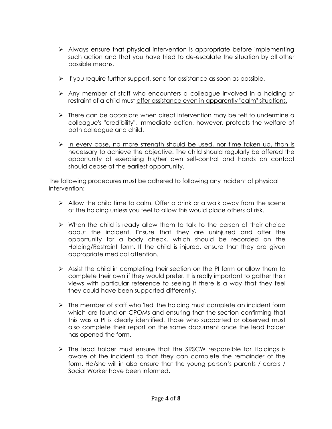- ➢ Always ensure that physical intervention is appropriate before implementing such action and that you have tried to de-escalate the situation by all other possible means.
- $\triangleright$  If you require further support, send for assistance as soon as possible.
- ➢ Any member of staff who encounters a colleague involved in a holding or restraint of a child must offer assistance even in apparently "calm" situations.
- ➢ There can be occasions when direct intervention may be felt to undermine a colleague's "credibility". Immediate action, however, protects the welfare of both colleague and child.
- ➢ In every case, no more strength should be used, nor time taken up, than is necessary to achieve the objective. The child should regularly be offered the opportunity of exercising his/her own self-control and hands on contact should cease at the earliest opportunity.

The following procedures must be adhered to following any incident of physical intervention:

- $\triangleright$  Allow the child time to calm. Offer a drink or a walk away from the scene of the holding unless you feel to allow this would place others at risk.
- $\triangleright$  When the child is ready allow them to talk to the person of their choice about the incident. Ensure that they are uninjured and offer the opportunity for a body check, which should be recorded on the Holding/Restraint form. If the child is injured, ensure that they are given appropriate medical attention.
- $\triangleright$  Assist the child in completing their section on the PI form or allow them to complete their own if they would prefer. It is really important to gather their views with particular reference to seeing if there is a way that they feel they could have been supported differently.
- ➢ The member of staff who 'led' the holding must complete an incident form which are found on CPOMs and ensuring that the section confirming that this was a PI is clearly identified. Those who supported or observed must also complete their report on the same document once the lead holder has opened the form.
- ➢ The lead holder must ensure that the SRSCW responsible for Holdings is aware of the incident so that they can complete the remainder of the form. He/she will in also ensure that the young person's parents / carers / Social Worker have been informed.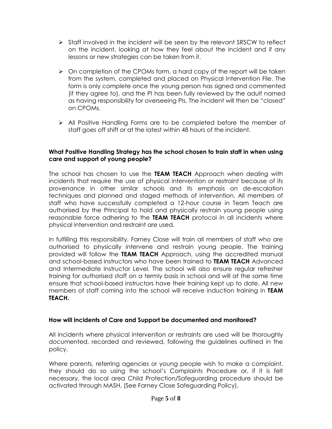- ➢ Staff involved in the incident will be seen by the relevant SRSCW to reflect on the incident, looking at how they feel about the incident and if any lessons or new strategies can be taken from it.
- ➢ On completion of the CPOMs form, a hard copy of the report will be taken from the system, completed and placed on Physical Intervention File. The form is only complete once the young person has signed and commented (if they agree to), and the PI has been fully reviewed by the adult named as having responsibility for overseeing PIs. The incident will then be "closed" on CPOMs.
- ➢ All Positive Handling Forms are to be completed before the member of staff goes off shift or at the latest within 48 hours of the incident.

#### **What Positive Handling Strategy has the school chosen to train staff in when using care and support of young people?**

The school has chosen to use the **TEAM TEACH** Approach when dealing with incidents that require the use of physical intervention or restraint because of its provenance in other similar schools and its emphasis on de-escalation techniques and planned and staged methods of intervention. All members of staff who have successfully completed a 12-hour course in Team Teach are authorised by the Principal to hold and physically restrain young people using reasonable force adhering to the **TEAM TEACH** protocol in all incidents where physical intervention and restraint are used.

In fulfilling this responsibility, Farney Close will train all members of staff who are authorised to physically intervene and restrain young people. The training provided will follow the **TEAM TEACH** Approach, using the accredited manual and school-based instructors who have been trained to **TEAM TEACH** Advanced and Intermediate Instructor Level. The school will also ensure regular refresher training for authorised staff on a termly basis in school and will at the same time ensure that school-based instructors have their training kept up to date. All new members of staff coming into the school will receive induction training in **TEAM TEACH.**

#### **How will incidents of Care and Support be documented and monitored?**

All incidents where physical intervention or restraints are used will be thoroughly documented, recorded and reviewed, following the guidelines outlined in the policy.

Where parents, referring agencies or young people wish to make a complaint, they should do so using the school's Complaints Procedure or, if it is felt necessary, the local area Child Protection/Safeguarding procedure should be activated through MASH, (See Farney Close Safeguarding Policy).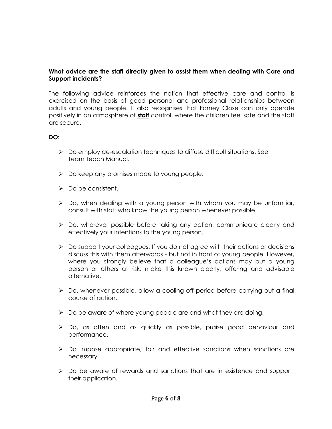#### **What advice are the staff directly given to assist them when dealing with Care and Support incidents?**

The following advice reinforces the notion that effective care and control is exercised on the basis of good personal and professional relationships between adults and young people. It also recognises that Farney Close can only operate positively in an atmosphere of **staff** control, where the children feel safe and the staff are secure.

# **DO:**

- ➢ Do employ de-escalation techniques to diffuse difficult situations. See Team Teach Manual.
- ➢ Do keep any promises made to young people.
- ➢ Do be consistent.
- $\triangleright$  Do, when dealing with a young person with whom you may be unfamiliar, consult with staff who know the young person whenever possible.
- ➢ Do, wherever possible before taking any action, communicate clearly and effectively your intentions to the young person.
- ➢ Do support your colleagues. If you do not agree with their actions or decisions discuss this with them afterwards - but not in front of young people. However, where you strongly believe that a colleague's actions may put a young person or others at risk, make this known clearly, offering and advisable alternative.
- ➢ Do, whenever possible, allow a cooling-off period before carrying out a final course of action.
- ➢ Do be aware of where young people are and what they are doing.
- ➢ Do, as often and as quickly as possible, praise good behaviour and performance.
- ➢ Do impose appropriate, fair and effective sanctions when sanctions are necessary.
- ➢ Do be aware of rewards and sanctions that are in existence and support their application.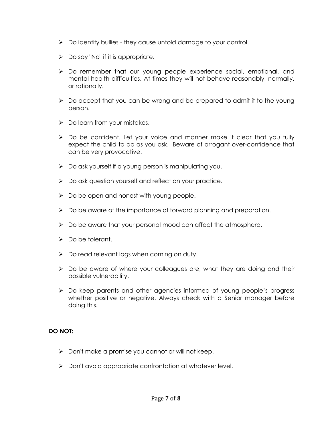- ➢ Do identify bullies they cause untold damage to your control.
- $\triangleright$  Do say "No" if it is appropriate.
- ➢ Do remember that our young people experience social, emotional, and mental health difficulties. At times they will not behave reasonably, normally, or rationally.
- ➢ Do accept that you can be wrong and be prepared to admit it to the young person.
- $\triangleright$  Do learn from your mistakes.
- ➢ Do be confident. Let your voice and manner make it clear that you fully expect the child to do as you ask. Beware of arrogant over-confidence that can be very provocative.
- ➢ Do ask yourself if a young person is manipulating you.
- ➢ Do ask question yourself and reflect on your practice.
- $\triangleright$  Do be open and honest with young people.
- ➢ Do be aware of the importance of forward planning and preparation.
- ➢ Do be aware that your personal mood can affect the atmosphere.
- ➢ Do be tolerant.
- ➢ Do read relevant logs when coming on duty.
- ➢ Do be aware of where your colleagues are, what they are doing and their possible vulnerability.
- ➢ Do keep parents and other agencies informed of young people's progress whether positive or negative. Always check with a Senior manager before doing this.

#### **DO NOT:**

- ➢ Don't make a promise you cannot or will not keep.
- ➢ Don't avoid appropriate confrontation at whatever level.